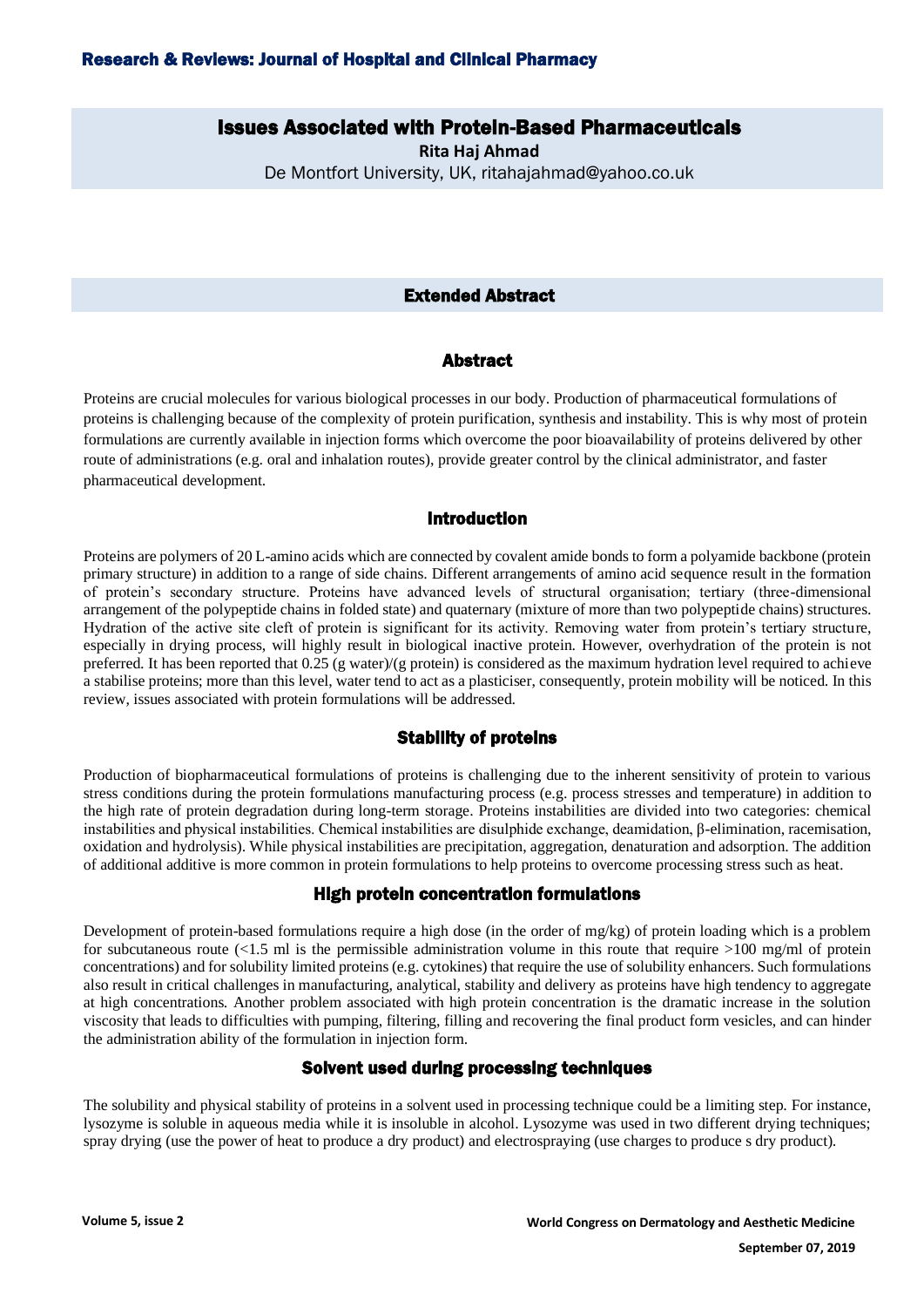# Issues Associated with Protein-Based Pharmaceuticals

**Rita Haj Ahmad**  De Montfort University, UK, ritahajahmad@yahoo.co.uk

#### Extended Abstract

#### Abstract

Proteins are crucial molecules for various biological processes in our body. Production of pharmaceutical formulations of proteins is challenging because of the complexity of protein purification, synthesis and instability. This is why most of protein formulations are currently available in injection forms which overcome the poor bioavailability of proteins delivered by other route of administrations (e.g. oral and inhalation routes), provide greater control by the clinical administrator, and faster pharmaceutical development.

# Introduction

Proteins are polymers of 20 L-amino acids which are connected by covalent amide bonds to form a polyamide backbone (protein primary structure) in addition to a range of side chains. Different arrangements of amino acid sequence result in the formation of protein's secondary structure. Proteins have advanced levels of structural organisation; tertiary (three-dimensional arrangement of the polypeptide chains in folded state) and quaternary (mixture of more than two polypeptide chains) structures. Hydration of the active site cleft of protein is significant for its activity. Removing water from protein's tertiary structure, especially in drying process, will highly result in biological inactive protein. However, overhydration of the protein is not preferred. It has been reported that 0.25 (g water)/(g protein) is considered as the maximum hydration level required to achieve a stabilise proteins; more than this level, water tend to act as a plasticiser, consequently, protein mobility will be noticed. In this review, issues associated with protein formulations will be addressed.

# Stability of proteins

Production of biopharmaceutical formulations of proteins is challenging due to the inherent sensitivity of protein to various stress conditions during the protein formulations manufacturing process (e.g. process stresses and temperature) in addition to the high rate of protein degradation during long-term storage. Proteins instabilities are divided into two categories: chemical instabilities and physical instabilities. Chemical instabilities are disulphide exchange, deamidation, β-elimination, racemisation, oxidation and hydrolysis). While physical instabilities are precipitation, aggregation, denaturation and adsorption. The addition of additional additive is more common in protein formulations to help proteins to overcome processing stress such as heat.

# High protein concentration formulations

Development of protein-based formulations require a high dose (in the order of mg/kg) of protein loading which is a problem for subcutaneous route  $\langle 1.5 \text{ ml} \rangle$  is the permissible administration volume in this route that require  $>100 \text{ mg/ml}$  of protein concentrations) and for solubility limited proteins (e.g. cytokines) that require the use of solubility enhancers. Such formulations also result in critical challenges in manufacturing, analytical, stability and delivery as proteins have high tendency to aggregate at high concentrations. Another problem associated with high protein concentration is the dramatic increase in the solution viscosity that leads to difficulties with pumping, filtering, filling and recovering the final product form vesicles, and can hinder the administration ability of the formulation in injection form.

# Solvent used during processing techniques

The solubility and physical stability of proteins in a solvent used in processing technique could be a limiting step. For instance, lysozyme is soluble in aqueous media while it is insoluble in alcohol. Lysozyme was used in two different drying techniques; spray drying (use the power of heat to produce a dry product) and electrospraying (use charges to produce s dry product).